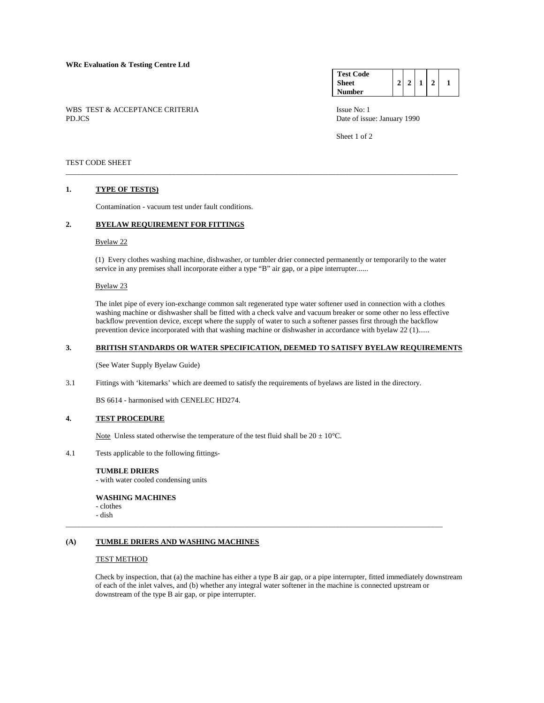WBS TEST & ACCEPTANCE CRITERIA Issue No: 1<br>PD.JCS Date of issue No: 1

| <b>Test Code</b> |  |  |  |
|------------------|--|--|--|
| <b>Sheet</b>     |  |  |  |
| Number           |  |  |  |

Date of issue: January 1990

Sheet 1 of 2

# TEST CODE SHEET

#### **1. TYPE OF TEST(S)**

Contamination - vacuum test under fault conditions.

# **2. BYELAW REQUIREMENT FOR FITTINGS**

#### Byelaw 22

 (1) Every clothes washing machine, dishwasher, or tumbler drier connected permanently or temporarily to the water service in any premises shall incorporate either a type "B" air gap, or a pipe interrupter......

\_\_\_\_\_\_\_\_\_\_\_\_\_\_\_\_\_\_\_\_\_\_\_\_\_\_\_\_\_\_\_\_\_\_\_\_\_\_\_\_\_\_\_\_\_\_\_\_\_\_\_\_\_\_\_\_\_\_\_\_\_\_\_\_\_\_\_\_\_\_\_\_\_\_\_\_\_\_\_\_\_\_\_\_\_\_\_\_\_\_\_\_\_\_\_\_\_\_\_\_\_\_\_

#### Byelaw 23

 The inlet pipe of every ion-exchange common salt regenerated type water softener used in connection with a clothes washing machine or dishwasher shall be fitted with a check valve and vacuum breaker or some other no less effective backflow prevention device, except where the supply of water to such a softener passes first through the backflow prevention device incorporated with that washing machine or dishwasher in accordance with byelaw 22 (1)......

## **3. BRITISH STANDARDS OR WATER SPECIFICATION, DEEMED TO SATISFY BYELAW REQUIREMENTS**

(See Water Supply Byelaw Guide)

3.1 Fittings with 'kitemarks' which are deemed to satisfy the requirements of byelaws are listed in the directory.

BS 6614 - harmonised with CENELEC HD274.

## **4. TEST PROCEDURE**

Note Unless stated otherwise the temperature of the test fluid shall be  $20 \pm 10^{\circ}$ C.

4.1 Tests applicable to the following fittings-

## **TUMBLE DRIERS**

- with water cooled condensing units

## **WASHING MACHINES**

- clothes

- dish

# **(A) TUMBLE DRIERS AND WASHING MACHINES**

#### TEST METHOD

Check by inspection, that (a) the machine has either a type B air gap, or a pipe interrupter, fitted immediately downstream of each of the inlet valves, and (b) whether any integral water softener in the machine is connected upstream or downstream of the type B air gap, or pipe interrupter.

\_\_\_\_\_\_\_\_\_\_\_\_\_\_\_\_\_\_\_\_\_\_\_\_\_\_\_\_\_\_\_\_\_\_\_\_\_\_\_\_\_\_\_\_\_\_\_\_\_\_\_\_\_\_\_\_\_\_\_\_\_\_\_\_\_\_\_\_\_\_\_\_\_\_\_\_\_\_\_\_\_\_\_\_\_\_\_\_\_\_\_\_\_\_\_\_\_\_\_